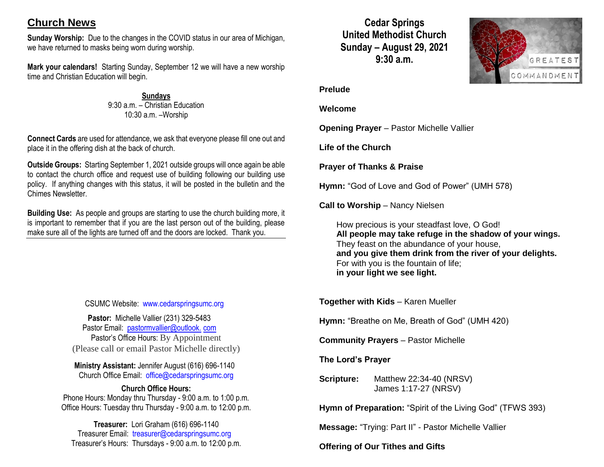# **Church News**

**Sunday Worship:** Due to the changes in the COVID status in our area of Michigan, we have returned to masks being worn during worship.

**Mark your calendars!** Starting Sunday, September 12 we will have a new worship time and Christian Education will begin.

> **Sundays** 9:30 a.m. – Christian Education 10:30 a.m. –Worship

**Connect Cards** are used for attendance, we ask that everyone please fill one out and place it in the offering dish at the back of church.

**Outside Groups:** Starting September 1, 2021 outside groups will once again be able to contact the church office and request use of building following our building use policy. If anything changes with this status, it will be posted in the bulletin and the Chimes Newsletter.

**Building Use:** As people and groups are starting to use the church building more, it is important to remember that if you are the last person out of the building, please make sure all of the lights are turned off and the doors are locked. Thank you.

### CSUMC Website: [www.cedarspringsumc.org](http://www.cedarspringsumc.org/)

**Pastor:** Michelle Vallier (231) 329-5483 Pastor Email: [pastormvallier@outlook.](mailto:pastormvallier@outlook.com) com Pastor's Office Hours: By Appointment (Please call or email Pastor Michelle directly)

**Ministry Assistant:** Jennifer August (616) 696-1140 Church Office Email: [office@cedarspringsumc.org](mailto:office@cedarspringsumc.org)

#### **Church Office Hours:**

Phone Hours: Monday thru Thursday - 9:00 a.m. to 1:00 p.m. Office Hours: Tuesday thru Thursday - 9:00 a.m. to 12:00 p.m.

**Treasurer:** Lori Graham (616) 696-1140 Treasurer Email: treasurer@cedarspringsumc.org Treasurer's Hours: Thursdays - 9:00 a.m. to 12:00 p.m.

**Cedar Springs United Methodist Church Sunday – August 29, 2021 9:30 a.m.**



#### **Prelude**

**Welcome**

**Opening Prayer** – Pastor Michelle Vallier

**Life of the Church**

**Prayer of Thanks & Praise**

**Hymn:** "God of Love and God of Power" (UMH 578)

**Call to Worship** – Nancy Nielsen

How precious is your steadfast love, O God! **All people may take refuge in the shadow of your wings.** They feast on the abundance of your house, **and you give them drink from the river of your delights.** For with you is the fountain of life; **in your light we see light.**

**Together with Kids** – Karen Mueller

**Hymn:** "Breathe on Me, Breath of God" (UMH 420)

**Community Prayers** – Pastor Michelle

**The Lord's Prayer**

**Scripture:** Matthew 22:34-40 (NRSV) James 1:17-27 (NRSV)

**Hymn of Preparation:** "Spirit of the Living God" (TFWS 393)

**Message:** "Trying: Part II" - Pastor Michelle Vallier

**Offering of Our Tithes and Gifts**